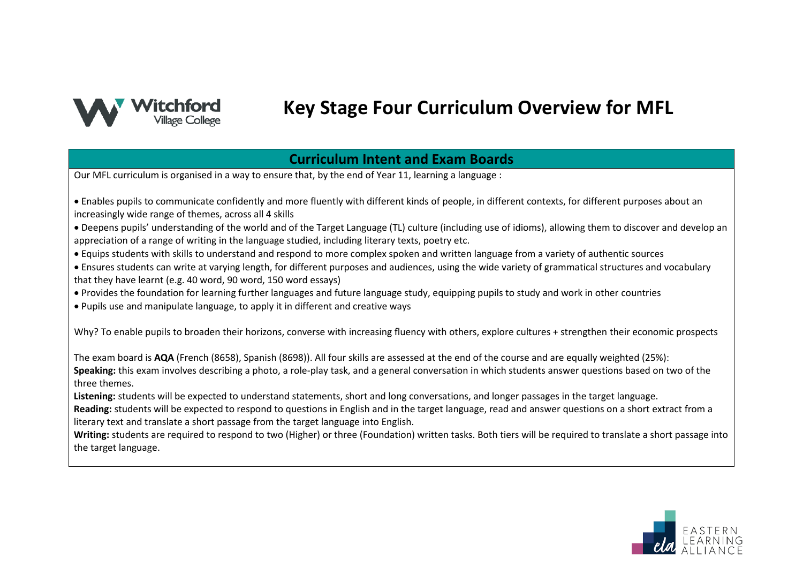

# **Key Stage Four Curriculum Overview for MFL**

#### **Curriculum Intent and Exam Boards**

Our MFL curriculum is organised in a way to ensure that, by the end of Year 11, learning a language :

- Enables pupils to communicate confidently and more fluently with different kinds of people, in different contexts, for different purposes about an increasingly wide range of themes, across all 4 skills
- Deepens pupils' understanding of the world and of the Target Language (TL) culture (including use of idioms), allowing them to discover and develop an appreciation of a range of writing in the language studied, including literary texts, poetry etc.
- Equips students with skills to understand and respond to more complex spoken and written language from a variety of authentic sources
- Ensures students can write at varying length, for different purposes and audiences, using the wide variety of grammatical structures and vocabulary that they have learnt (e.g. 40 word, 90 word, 150 word essays)
- Provides the foundation for learning further languages and future language study, equipping pupils to study and work in other countries
- Pupils use and manipulate language, to apply it in different and creative ways

Why? To enable pupils to broaden their horizons, converse with increasing fluency with others, explore cultures + strengthen their economic prospects

The exam board is **AQA** (French (8658), Spanish (8698)). All four skills are assessed at the end of the course and are equally weighted (25%): **Speaking:** this exam involves describing a photo, a role-play task, and a general conversation in which students answer questions based on two of the three themes.

**Listening:** students will be expected to understand statements, short and long conversations, and longer passages in the target language.

**Reading:** students will be expected to respond to questions in English and in the target language, read and answer questions on a short extract from a literary text and translate a short passage from the target language into English.

**Writing:** students are required to respond to two (Higher) or three (Foundation) written tasks. Both tiers will be required to translate a short passage into the target language.

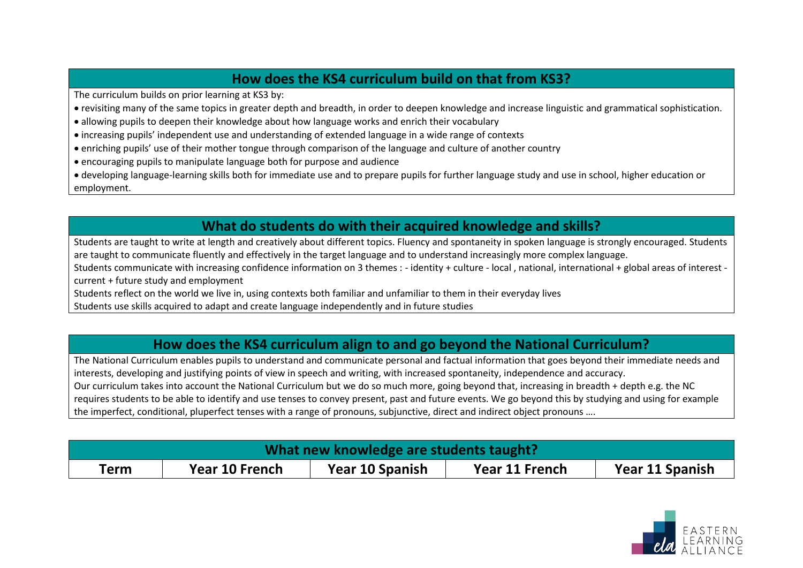#### **How does the KS4 curriculum build on that from KS3?**

The curriculum builds on prior learning at KS3 by:

- revisiting many of the same topics in greater depth and breadth, in order to deepen knowledge and increase linguistic and grammatical sophistication.
- allowing pupils to deepen their knowledge about how language works and enrich their vocabulary
- increasing pupils' independent use and understanding of extended language in a wide range of contexts
- enriching pupils' use of their mother tongue through comparison of the language and culture of another country
- encouraging pupils to manipulate language both for purpose and audience
- developing language-learning skills both for immediate use and to prepare pupils for further language study and use in school, higher education or employment.

## **What do students do with their acquired knowledge and skills?**

Students are taught to write at length and creatively about different topics. Fluency and spontaneity in spoken language is strongly encouraged. Students are taught to communicate fluently and effectively in the target language and to understand increasingly more complex language.

Students communicate with increasing confidence information on 3 themes : - identity + culture - local , national, international + global areas of interest current + future study and employment

Students reflect on the world we live in, using contexts both familiar and unfamiliar to them in their everyday lives

Students use skills acquired to adapt and create language independently and in future studies

### **How does the KS4 curriculum align to and go beyond the National Curriculum?**

The National Curriculum enables pupils to understand and communicate personal and factual information that goes beyond their immediate needs and interests, developing and justifying points of view in speech and writing, with increased spontaneity, independence and accuracy. Our curriculum takes into account the National Curriculum but we do so much more, going beyond that, increasing in breadth + depth e.g. the NC requires students to be able to identify and use tenses to convey present, past and future events. We go beyond this by studying and using for example the imperfect, conditional, pluperfect tenses with a range of pronouns, subjunctive, direct and indirect object pronouns ….

| What new knowledge are students taught? |                |                 |                |                 |  |
|-----------------------------------------|----------------|-----------------|----------------|-----------------|--|
| Term                                    | Year 10 French | Year 10 Spanish | Year 11 French | Year 11 Spanish |  |

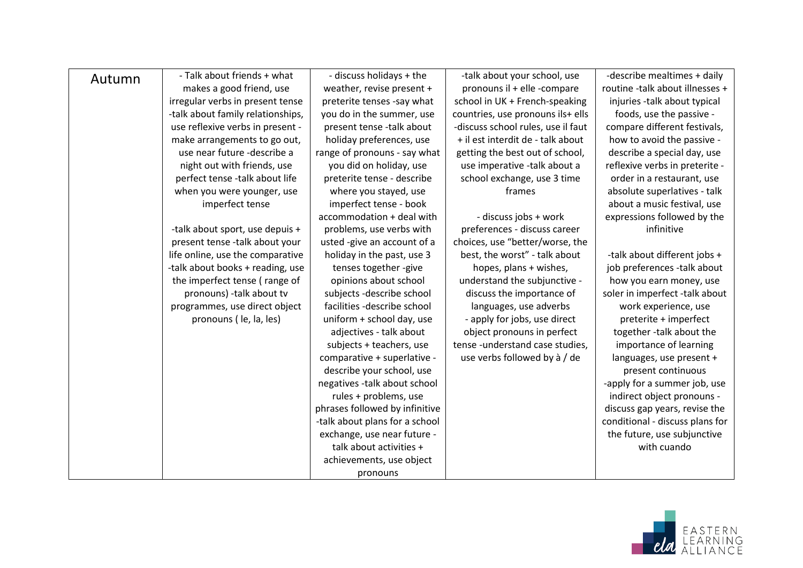| Autumn | - Talk about friends + what       | - discuss holidays + the       | -talk about your school, use       | -describe mealtimes + daily     |
|--------|-----------------------------------|--------------------------------|------------------------------------|---------------------------------|
|        | makes a good friend, use          | weather, revise present +      | pronouns il + elle -compare        | routine -talk about illnesses + |
|        | irregular verbs in present tense  | preterite tenses -say what     | school in UK + French-speaking     | injuries -talk about typical    |
|        | -talk about family relationships, | you do in the summer, use      | countries, use pronouns ils+ ells  | foods, use the passive -        |
|        | use reflexive verbs in present -  | present tense -talk about      | -discuss school rules, use il faut | compare different festivals,    |
|        | make arrangements to go out,      | holiday preferences, use       | + il est interdit de - talk about  | how to avoid the passive -      |
|        | use near future -describe a       | range of pronouns - say what   | getting the best out of school,    | describe a special day, use     |
|        | night out with friends, use       | you did on holiday, use        | use imperative -talk about a       | reflexive verbs in preterite -  |
|        | perfect tense -talk about life    | preterite tense - describe     | school exchange, use 3 time        | order in a restaurant, use      |
|        | when you were younger, use        | where you stayed, use          | frames                             | absolute superlatives - talk    |
|        | imperfect tense                   | imperfect tense - book         |                                    | about a music festival, use     |
|        |                                   | accommodation + deal with      | - discuss jobs + work              | expressions followed by the     |
|        | -talk about sport, use depuis +   | problems, use verbs with       | preferences - discuss career       | infinitive                      |
|        | present tense -talk about your    | usted -give an account of a    | choices, use "better/worse, the    |                                 |
|        | life online, use the comparative  | holiday in the past, use 3     | best, the worst" - talk about      | -talk about different jobs +    |
|        | -talk about books + reading, use  | tenses together -give          | hopes, plans + wishes,             | job preferences -talk about     |
|        | the imperfect tense (range of     | opinions about school          | understand the subjunctive -       | how you earn money, use         |
|        | pronouns) -talk about tv          | subjects -describe school      | discuss the importance of          | soler in imperfect -talk about  |
|        | programmes, use direct object     | facilities -describe school    | languages, use adverbs             | work experience, use            |
|        | pronouns (le, la, les)            | uniform + school day, use      | - apply for jobs, use direct       | preterite + imperfect           |
|        |                                   | adjectives - talk about        | object pronouns in perfect         | together -talk about the        |
|        |                                   | subjects + teachers, use       | tense-understand case studies,     | importance of learning          |
|        |                                   | comparative + superlative -    | use verbs followed by à / de       | languages, use present +        |
|        |                                   | describe your school, use      |                                    | present continuous              |
|        |                                   | negatives -talk about school   |                                    | -apply for a summer job, use    |
|        |                                   | rules + problems, use          |                                    | indirect object pronouns -      |
|        |                                   | phrases followed by infinitive |                                    | discuss gap years, revise the   |
|        |                                   | -talk about plans for a school |                                    | conditional - discuss plans for |
|        |                                   | exchange, use near future -    |                                    | the future, use subjunctive     |
|        |                                   | talk about activities +        |                                    | with cuando                     |
|        |                                   | achievements, use object       |                                    |                                 |
|        |                                   | pronouns                       |                                    |                                 |

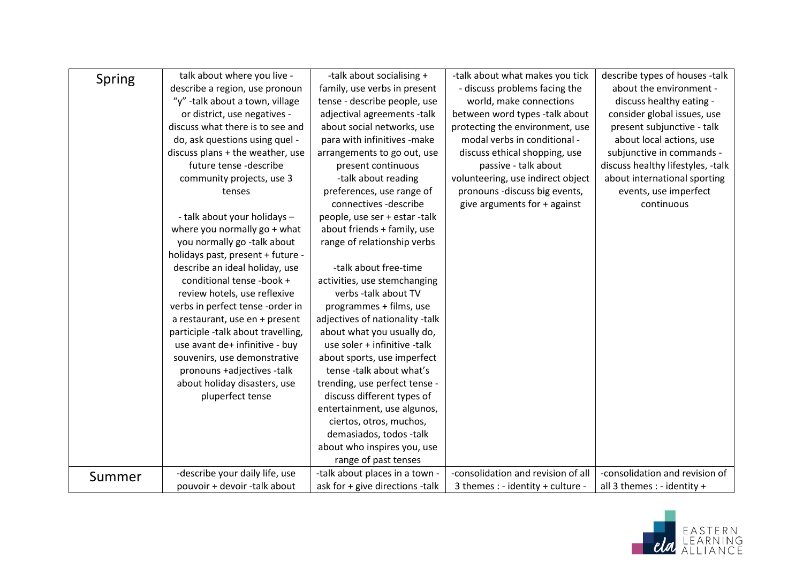| Spring | talk about where you live -        | -talk about socialising +       | -talk about what makes you tick    | describe types of houses -talk    |
|--------|------------------------------------|---------------------------------|------------------------------------|-----------------------------------|
|        | describe a region, use pronoun     | family, use verbs in present    | - discuss problems facing the      | about the environment -           |
|        | "y" -talk about a town, village    | tense - describe people, use    | world, make connections            | discuss healthy eating -          |
|        | or district, use negatives -       | adjectival agreements -talk     | between word types -talk about     | consider global issues, use       |
|        | discuss what there is to see and   | about social networks, use      | protecting the environment, use    | present subjunctive - talk        |
|        | do, ask questions using quel -     | para with infinitives -make     | modal verbs in conditional -       | about local actions, use          |
|        | discuss plans + the weather, use   | arrangements to go out, use     | discuss ethical shopping, use      | subjunctive in commands -         |
|        | future tense -describe             | present continuous              | passive - talk about               | discuss healthy lifestyles, -talk |
|        | community projects, use 3          | -talk about reading             | volunteering, use indirect object  | about international sporting      |
|        | tenses                             | preferences, use range of       | pronouns -discuss big events,      | events, use imperfect             |
|        |                                    | connectives -describe           | give arguments for + against       | continuous                        |
|        | - talk about your holidays -       | people, use ser + estar -talk   |                                    |                                   |
|        | where you normally $go + what$     | about friends + family, use     |                                    |                                   |
|        | you normally go -talk about        | range of relationship verbs     |                                    |                                   |
|        | holidays past, present + future -  |                                 |                                    |                                   |
|        | describe an ideal holiday, use     | -talk about free-time           |                                    |                                   |
|        | conditional tense -book +          | activities, use stemchanging    |                                    |                                   |
|        | review hotels, use reflexive       | verbs -talk about TV            |                                    |                                   |
|        | verbs in perfect tense -order in   | programmes + films, use         |                                    |                                   |
|        | a restaurant, use en + present     | adjectives of nationality -talk |                                    |                                   |
|        | participle -talk about travelling, | about what you usually do,      |                                    |                                   |
|        | use avant de+ infinitive - buy     | use soler + infinitive -talk    |                                    |                                   |
|        | souvenirs, use demonstrative       | about sports, use imperfect     |                                    |                                   |
|        | pronouns +adjectives -talk         | tense-talk about what's         |                                    |                                   |
|        | about holiday disasters, use       | trending, use perfect tense -   |                                    |                                   |
|        | pluperfect tense                   | discuss different types of      |                                    |                                   |
|        |                                    | entertainment, use algunos,     |                                    |                                   |
|        |                                    | ciertos, otros, muchos,         |                                    |                                   |
|        |                                    | demasiados, todos -talk         |                                    |                                   |
|        |                                    | about who inspires you, use     |                                    |                                   |
|        |                                    | range of past tenses            |                                    |                                   |
| Summer | -describe your daily life, use     | -talk about places in a town -  | -consolidation and revision of all | -consolidation and revision of    |
|        | pouvoir + devoir -talk about       | ask for + give directions -talk | 3 themes : - identity + culture -  | all 3 themes : - identity +       |

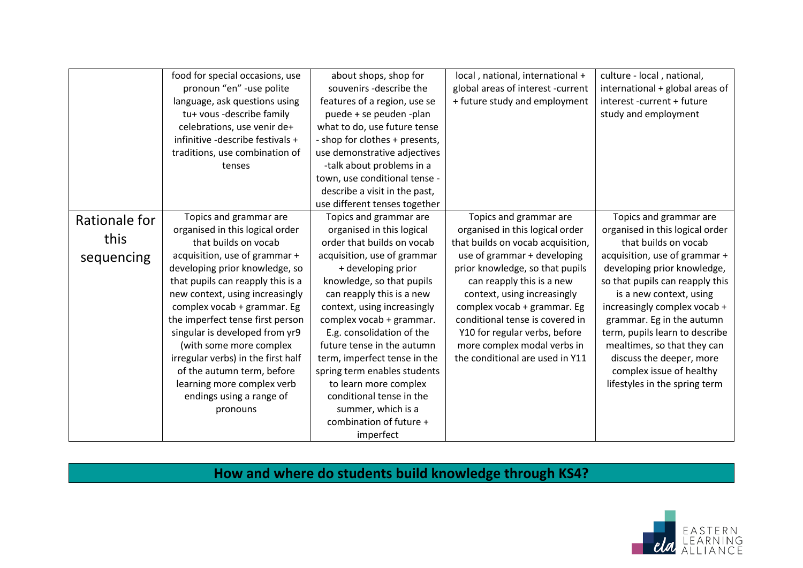|               | food for special occasions, use    | about shops, shop for          | local, national, international +  | culture - local, national,      |
|---------------|------------------------------------|--------------------------------|-----------------------------------|---------------------------------|
|               | pronoun "en" -use polite           | souvenirs -describe the        | global areas of interest -current | international + global areas of |
|               | language, ask questions using      | features of a region, use se   | + future study and employment     | interest -current + future      |
|               | tu+ vous -describe family          | puede + se peuden -plan        |                                   | study and employment            |
|               | celebrations, use venir de+        | what to do, use future tense   |                                   |                                 |
|               | infinitive -describe festivals +   | - shop for clothes + presents, |                                   |                                 |
|               | traditions, use combination of     | use demonstrative adjectives   |                                   |                                 |
|               | tenses                             | -talk about problems in a      |                                   |                                 |
|               |                                    | town, use conditional tense -  |                                   |                                 |
|               |                                    | describe a visit in the past,  |                                   |                                 |
|               |                                    | use different tenses together  |                                   |                                 |
| Rationale for | Topics and grammar are             | Topics and grammar are         | Topics and grammar are            | Topics and grammar are          |
|               | organised in this logical order    | organised in this logical      | organised in this logical order   | organised in this logical order |
| this          | that builds on vocab               | order that builds on vocab     | that builds on vocab acquisition, | that builds on vocab            |
| sequencing    | acquisition, use of grammar +      | acquisition, use of grammar    | use of grammar + developing       | acquisition, use of grammar +   |
|               | developing prior knowledge, so     | + developing prior             | prior knowledge, so that pupils   | developing prior knowledge,     |
|               | that pupils can reapply this is a  | knowledge, so that pupils      | can reapply this is a new         | so that pupils can reapply this |
|               | new context, using increasingly    | can reapply this is a new      | context, using increasingly       | is a new context, using         |
|               | complex vocab + grammar. Eg        | context, using increasingly    | complex vocab + grammar. Eg       | increasingly complex vocab +    |
|               | the imperfect tense first person   | complex vocab + grammar.       | conditional tense is covered in   | grammar. Eg in the autumn       |
|               | singular is developed from yr9     | E.g. consolidation of the      | Y10 for regular verbs, before     | term, pupils learn to describe  |
|               | (with some more complex            | future tense in the autumn     | more complex modal verbs in       | mealtimes, so that they can     |
|               | irregular verbs) in the first half | term, imperfect tense in the   | the conditional are used in Y11   | discuss the deeper, more        |
|               | of the autumn term, before         | spring term enables students   |                                   | complex issue of healthy        |
|               | learning more complex verb         | to learn more complex          |                                   | lifestyles in the spring term   |
|               | endings using a range of           | conditional tense in the       |                                   |                                 |
|               | pronouns                           | summer, which is a             |                                   |                                 |
|               |                                    | combination of future +        |                                   |                                 |
|               |                                    | imperfect                      |                                   |                                 |

## **How and where do students build knowledge through KS4?**